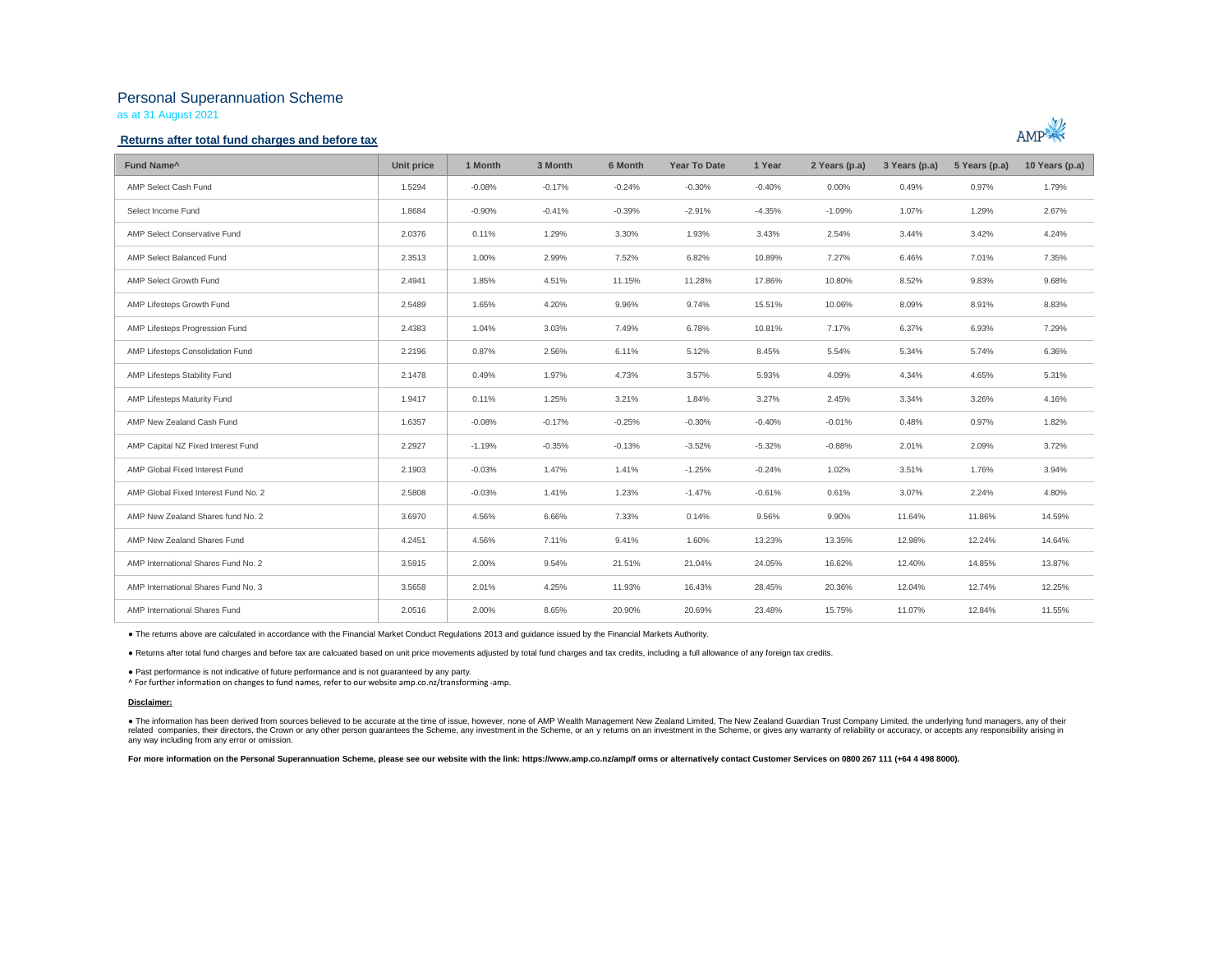# Personal Superannuation Scheme

as at 31 August 2021

### **Returns after total fund charges and before tax**



| Fund Name <sup>^</sup>               | Unit price | 1 Month  | 3 Month  | 6 Month  | <b>Year To Date</b> | 1 Year   | 2 Years (p.a) | 3 Years (p.a) | 5 Years (p.a) | 10 Years (p.a) |
|--------------------------------------|------------|----------|----------|----------|---------------------|----------|---------------|---------------|---------------|----------------|
| AMP Select Cash Fund                 | 1.5294     | $-0.08%$ | $-0.17%$ | $-0.24%$ | $-0.30%$            | $-0.40%$ | $0.00\%$      | 0.49%         | 0.97%         | 1.79%          |
| Select Income Fund                   | 1.8684     | $-0.90%$ | $-0.41%$ | $-0.39%$ | $-2.91%$            | $-4.35%$ | $-1.09%$      | 1.07%         | 1.29%         | 2.67%          |
| AMP Select Conservative Fund         | 2.0376     | 0.11%    | 1.29%    | 3.30%    | 1.93%               | 3.43%    | 2.54%         | 3.44%         | 3.42%         | 4.24%          |
| AMP Select Balanced Fund             | 2.3513     | 1.00%    | 2.99%    | 7.52%    | 6.82%               | 10.89%   | 7.27%         | 6.46%         | 7.01%         | 7.35%          |
| AMP Select Growth Fund               | 2.4941     | 1.85%    | 4.51%    | 11.15%   | 11.28%              | 17.86%   | 10.80%        | 8.52%         | 9.83%         | 9.68%          |
| AMP Lifesteps Growth Fund            | 2.5489     | 1.65%    | 4.20%    | 9.96%    | 9.74%               | 15.51%   | 10.06%        | 8.09%         | 8.91%         | 8.83%          |
| AMP Lifesteps Progression Fund       | 2.4383     | 1.04%    | 3.03%    | 7.49%    | 6.78%               | 10.81%   | 7.17%         | 6.37%         | 6.93%         | 7.29%          |
| AMP Lifesteps Consolidation Fund     | 2.2196     | 0.87%    | 2.56%    | 6.11%    | 5.12%               | 8.45%    | 5.54%         | 5.34%         | 5.74%         | 6.36%          |
| AMP Lifesteps Stability Fund         | 2.1478     | 0.49%    | 1.97%    | 4.73%    | 3.57%               | 5.93%    | 4.09%         | 4.34%         | 4.65%         | 5.31%          |
| AMP Lifesteps Maturity Fund          | 1.9417     | 0.11%    | 1.25%    | 3.21%    | 1.84%               | 3.27%    | 2.45%         | 3.34%         | 3.26%         | 4.16%          |
| AMP New Zealand Cash Fund            | 1.6357     | $-0.08%$ | $-0.17%$ | $-0.25%$ | $-0.30%$            | $-0.40%$ | $-0.01%$      | 0.48%         | 0.97%         | 1.82%          |
| AMP Capital NZ Fixed Interest Fund   | 2.2927     | $-1.19%$ | $-0.35%$ | $-0.13%$ | $-3.52%$            | $-5.32%$ | $-0.88%$      | 2.01%         | 2.09%         | 3.72%          |
| AMP Global Fixed Interest Fund       | 2.1903     | $-0.03%$ | 1.47%    | 1.41%    | $-1.25%$            | $-0.24%$ | 1.02%         | 3.51%         | 1.76%         | 3.94%          |
| AMP Global Fixed Interest Fund No. 2 | 2.5808     | $-0.03%$ | 1.41%    | 1.23%    | $-1.47%$            | $-0.61%$ | 0.61%         | 3.07%         | 2.24%         | 4.80%          |
| AMP New Zealand Shares fund No. 2    | 3.6970     | 4.56%    | 6.66%    | 7.33%    | 0.14%               | 9.56%    | 9.90%         | 11.64%        | 11.86%        | 14.59%         |
| AMP New Zealand Shares Fund          | 4.2451     | 4.56%    | 7.11%    | 9.41%    | 1.60%               | 13.23%   | 13.35%        | 12.98%        | 12.24%        | 14.64%         |
| AMP International Shares Fund No. 2  | 3.5915     | 2.00%    | 9.54%    | 21.51%   | 21.04%              | 24.05%   | 16.62%        | 12.40%        | 14.85%        | 13.87%         |
| AMP International Shares Fund No. 3  | 3.5658     | 2.01%    | 4.25%    | 11.93%   | 16.43%              | 28.45%   | 20.36%        | 12.04%        | 12.74%        | 12.25%         |
| AMP International Shares Fund        | 2.0516     | 2.00%    | 8.65%    | 20.90%   | 20.69%              | 23.48%   | 15.75%        | 11.07%        | 12.84%        | 11.55%         |

● The returns above are calculated in accordance with the Financial Market Conduct Regulations 2013 and guidance issued by the Financial Markets Authority.

● Returns after total fund charges and before tax are calcuated based on unit price movements adjusted by total fund charges and tax credits, including a full allowance of any foreign tax credits.

● Past performance is not indicative of future performance and is not guaranteed by any party.

^ For further information on changes to fund names, refer to our website amp.co.nz/transforming -amp.

#### **Disclaimer:**

. The information has been derived from sources believed to be accurate at the time of issue, however, none of AMP Wealth Management New Zealand Limited, The New Zealand Guardian Trust Company Limited, the underlying fund related companies, their directors, the Crown or any other person guarantees the Scheme, any investment in the Scheme, or any returns on an investment in the Scheme, or gives any varranty of reliability or accuracy, or acc any way including from any error or omission.

For more information on the Personal Superannuation Scheme, please see our website with the link: https://www.amp.co.nz/amp/f orms or alternatively contact Customer Services on 0800 267 111 (+64 4 498 8000).